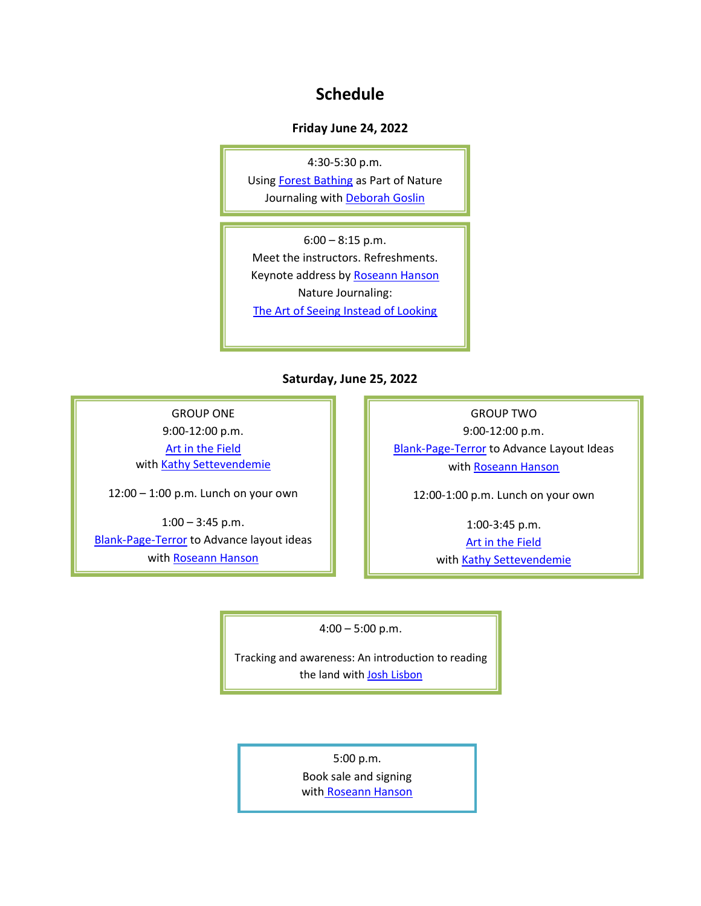## **Schedule**

## **Friday June 24, 2022**

4:30-5:30 p.m. Usin[g Forest Bathing](https://www.theoharacommons.org/single-post/forest-bathing) as Part of Nature Journaling with [Deborah](https://www.theoharacommons.org/single-post/deborah-goslin) Goslin

With Deb Goslin at River Park 6:00 – 8:15 p.m. Meet the instructors. Refreshments. Keynote address by [Roseann Hanson](https://www.theoharacommons.org/single-post/roseann-beggy-hanson) Nature Journaling: The [Art of Seeing Instead of Looking](https://www.theoharacommons.org/single-post/the-art-of-seeing)

**Saturday, June 25, 2022**

GROUP ONE

9:00-12:00 p.m. [Art in the Field](https://www.theoharacommons.org/single-post/art-in-the-field) with [Kathy Settevendemie](https://www.theoharacommons.org/single-post/kathy-settevendemie)

12:00 – 1:00 p.m. Lunch on your own

 $1:00 - 3:45$  p.m. [Blank-Page-Terror](https://www.theoharacommons.org/single-post/blank-page-terror) to Advance layout ideas with [Roseann Hanson](https://www.theoharacommons.org/single-post/roseann-beggy-hanson)

GROUP TWO 9:00-12:00 p.m. [Blank-Page-Terror](https://www.theoharacommons.org/single-post/blank-page-terror) to Advance Layout Ideas with [Roseann Hanson](https://www.theoharacommons.org/single-post/roseann-beggy-hanson)

12:00-1:00 p.m. Lunch on your own

1:00-3:45 p.m. [Art in the Field](https://www.theoharacommons.org/single-post/art-in-the-field) with [Kathy Settevendemie](https://www.theoharacommons.org/single-post/kathy-settevendemie)

4:00 – 5:00 p.m.

Tracking and awareness: An introduction to reading the land with **Josh Lisbon** 

5:00 p.m.

Book sale and signing with [Roseann](https://www.theoharacommons.org/single-post/roseann-beggy-hanson) Hanson